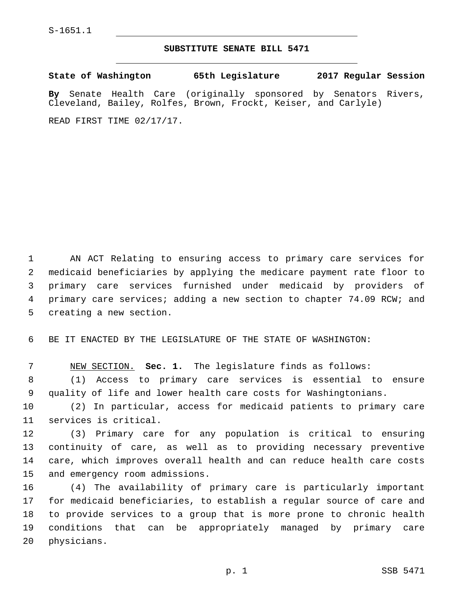## **SUBSTITUTE SENATE BILL 5471**

**State of Washington 65th Legislature 2017 Regular Session By** Senate Health Care (originally sponsored by Senators Rivers, Cleveland, Bailey, Rolfes, Brown, Frockt, Keiser, and Carlyle)

READ FIRST TIME 02/17/17.

 AN ACT Relating to ensuring access to primary care services for medicaid beneficiaries by applying the medicare payment rate floor to primary care services furnished under medicaid by providers of primary care services; adding a new section to chapter 74.09 RCW; and 5 creating a new section.

6 BE IT ENACTED BY THE LEGISLATURE OF THE STATE OF WASHINGTON:

7 NEW SECTION. **Sec. 1.** The legislature finds as follows:

8 (1) Access to primary care services is essential to ensure 9 quality of life and lower health care costs for Washingtonians.

10 (2) In particular, access for medicaid patients to primary care 11 services is critical.

 (3) Primary care for any population is critical to ensuring continuity of care, as well as to providing necessary preventive care, which improves overall health and can reduce health care costs 15 and emergency room admissions.

 (4) The availability of primary care is particularly important for medicaid beneficiaries, to establish a regular source of care and to provide services to a group that is more prone to chronic health conditions that can be appropriately managed by primary care 20 physicians.